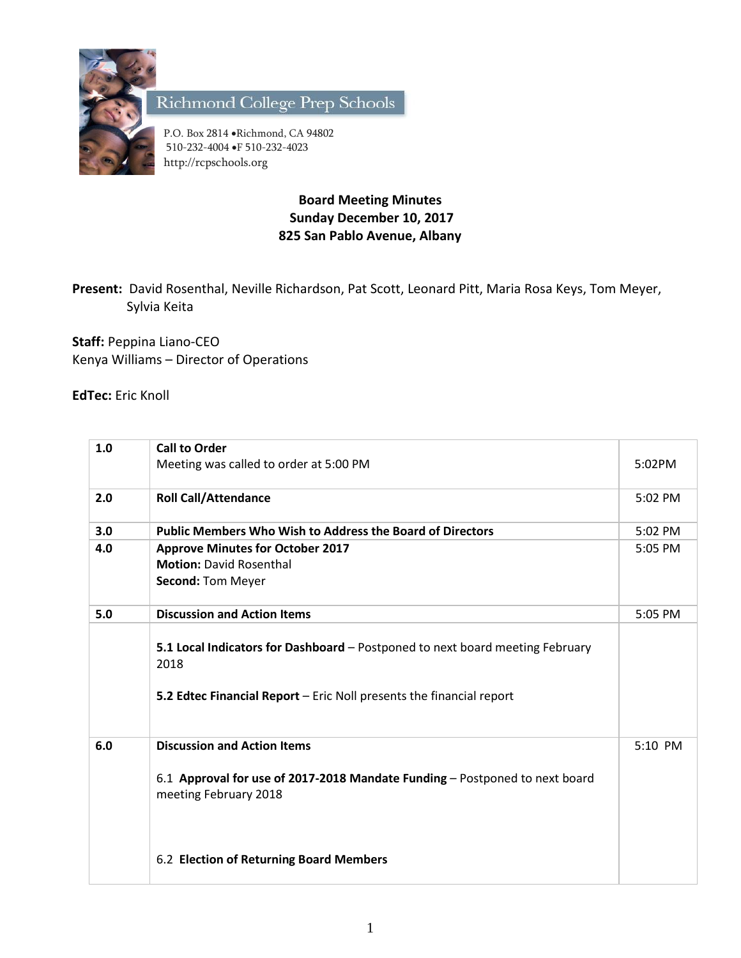

Richmond College Prep Schools

P.O. Box 2814 . Richmond, CA 94802 510-232-4004 F 510-232-4023 http://rcpschools.org

## **Board Meeting Minutes Sunday December 10, 2017 825 San Pablo Avenue, Albany**

**Present:** David Rosenthal, Neville Richardson, Pat Scott, Leonard Pitt, Maria Rosa Keys, Tom Meyer, Sylvia Keita

**Staff:** Peppina Liano-CEO Kenya Williams – Director of Operations

**EdTec:** Eric Knoll

| 1.0 | <b>Call to Order</b>                                                                                                                                          |         |
|-----|---------------------------------------------------------------------------------------------------------------------------------------------------------------|---------|
|     | Meeting was called to order at 5:00 PM                                                                                                                        | 5:02PM  |
| 2.0 | <b>Roll Call/Attendance</b>                                                                                                                                   | 5:02 PM |
| 3.0 | <b>Public Members Who Wish to Address the Board of Directors</b>                                                                                              | 5:02 PM |
| 4.0 | <b>Approve Minutes for October 2017</b>                                                                                                                       | 5:05 PM |
|     | <b>Motion: David Rosenthal</b>                                                                                                                                |         |
|     | Second: Tom Meyer                                                                                                                                             |         |
| 5.0 | <b>Discussion and Action Items</b>                                                                                                                            | 5:05 PM |
|     | 5.1 Local Indicators for Dashboard - Postponed to next board meeting February<br>2018<br>5.2 Edtec Financial Report - Eric Noll presents the financial report |         |
| 6.0 | <b>Discussion and Action Items</b>                                                                                                                            | 5:10 PM |
|     | 6.1 Approval for use of 2017-2018 Mandate Funding - Postponed to next board<br>meeting February 2018                                                          |         |
|     | 6.2 Election of Returning Board Members                                                                                                                       |         |